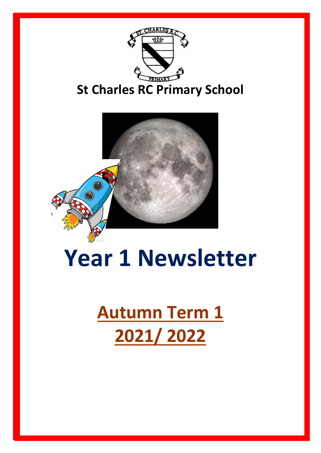



## **Year 1 Newsletter**

## **Autumn Term 1 2021/ 2022**